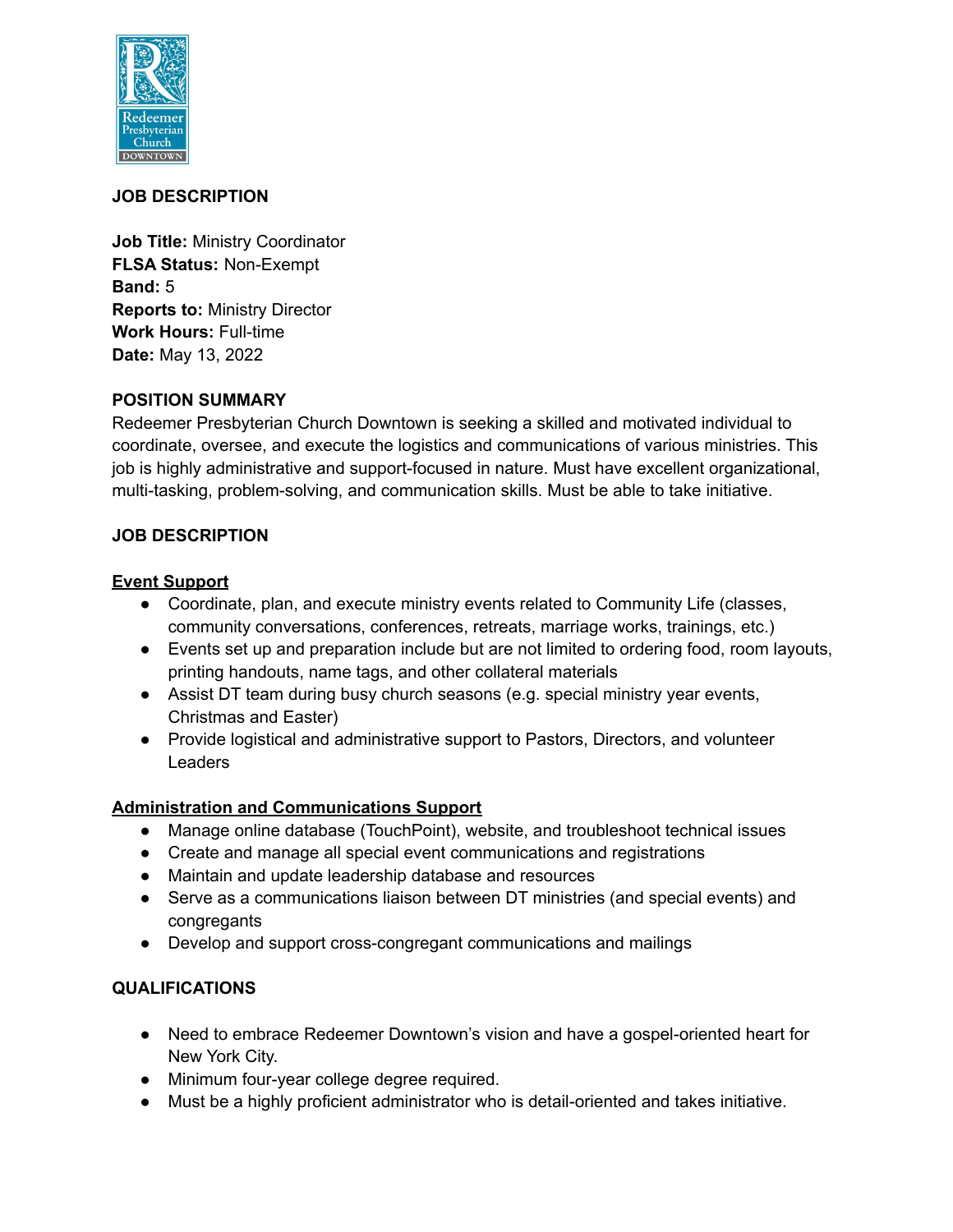

## **JOB DESCRIPTION**

**Job Title:** Ministry Coordinator **FLSA Status:** Non-Exempt **Band:** 5 **Reports to:** Ministry Director **Work Hours:** Full-time **Date:** May 13, 2022

#### **POSITION SUMMARY**

Redeemer Presbyterian Church Downtown is seeking a skilled and motivated individual to coordinate, oversee, and execute the logistics and communications of various ministries. This job is highly administrative and support-focused in nature. Must have excellent organizational, multi-tasking, problem-solving, and communication skills. Must be able to take initiative.

## **JOB DESCRIPTION**

#### **Event Support**

- Coordinate, plan, and execute ministry events related to Community Life (classes, community conversations, conferences, retreats, marriage works, trainings, etc.)
- Events set up and preparation include but are not limited to ordering food, room layouts, printing handouts, name tags, and other collateral materials
- Assist DT team during busy church seasons (e.g. special ministry year events, Christmas and Easter)
- Provide logistical and administrative support to Pastors, Directors, and volunteer **Leaders**

## **Administration and Communications Support**

- Manage online database (TouchPoint), website, and troubleshoot technical issues
- Create and manage all special event communications and registrations
- Maintain and update leadership database and resources
- Serve as a communications liaison between DT ministries (and special events) and congregants
- Develop and support cross-congregant communications and mailings

## **QUALIFICATIONS**

- Need to embrace Redeemer Downtown's vision and have a gospel-oriented heart for New York City.
- Minimum four-year college degree required.
- Must be a highly proficient administrator who is detail-oriented and takes initiative.